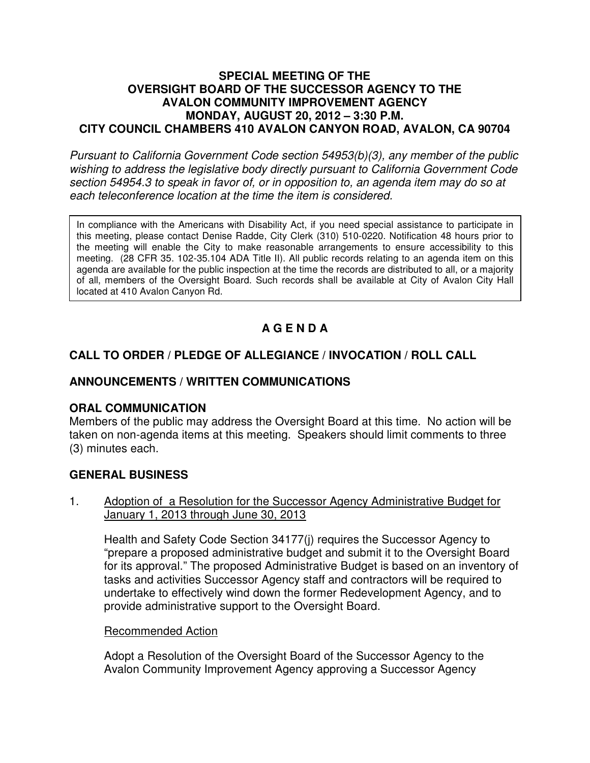#### **SPECIAL MEETING OF THE OVERSIGHT BOARD OF THE SUCCESSOR AGENCY TO THE AVALON COMMUNITY IMPROVEMENT AGENCY MONDAY, AUGUST 20, 2012 – 3:30 P.M. CITY COUNCIL CHAMBERS 410 AVALON CANYON ROAD, AVALON, CA 90704**

Pursuant to California Government Code section 54953(b)(3), any member of the public wishing to address the legislative body directly pursuant to California Government Code section 54954.3 to speak in favor of, or in opposition to, an agenda item may do so at each teleconference location at the time the item is considered.

In compliance with the Americans with Disability Act, if you need special assistance to participate in this meeting, please contact Denise Radde, City Clerk (310) 510-0220. Notification 48 hours prior to the meeting will enable the City to make reasonable arrangements to ensure accessibility to this meeting. (28 CFR 35. 102-35.104 ADA Title II). All public records relating to an agenda item on this agenda are available for the public inspection at the time the records are distributed to all, or a majority of all, members of the Oversight Board. Such records shall be available at City of Avalon City Hall located at 410 Avalon Canyon Rd.

# **A G E N D A**

# **CALL TO ORDER / PLEDGE OF ALLEGIANCE / INVOCATION / ROLL CALL**

# **ANNOUNCEMENTS / WRITTEN COMMUNICATIONS**

### **ORAL COMMUNICATION**

Members of the public may address the Oversight Board at this time. No action will be taken on non-agenda items at this meeting. Speakers should limit comments to three (3) minutes each.

### **GENERAL BUSINESS**

#### 1. Adoption of a Resolution for the Successor Agency Administrative Budget for January 1, 2013 through June 30, 2013

Health and Safety Code Section 34177(j) requires the Successor Agency to "prepare a proposed administrative budget and submit it to the Oversight Board for its approval." The proposed Administrative Budget is based on an inventory of tasks and activities Successor Agency staff and contractors will be required to undertake to effectively wind down the former Redevelopment Agency, and to provide administrative support to the Oversight Board.

### Recommended Action

Adopt a Resolution of the Oversight Board of the Successor Agency to the Avalon Community Improvement Agency approving a Successor Agency